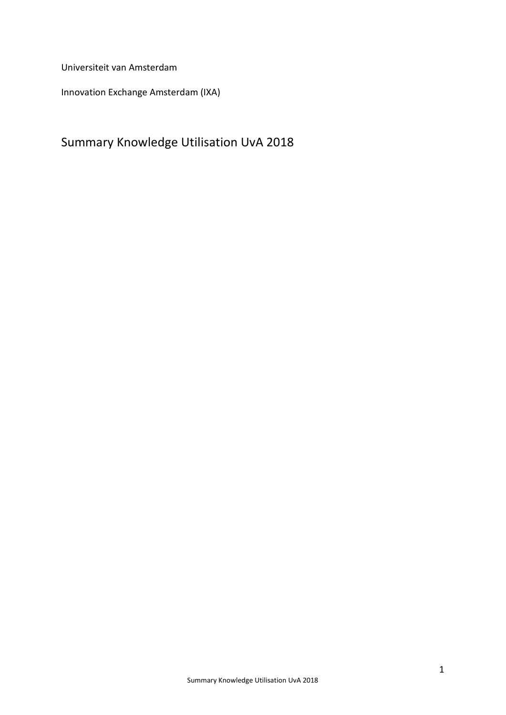Universiteit van Amsterdam

Innovation Exchange Amsterdam (IXA)

# Summary Knowledge Utilisation UvA 2018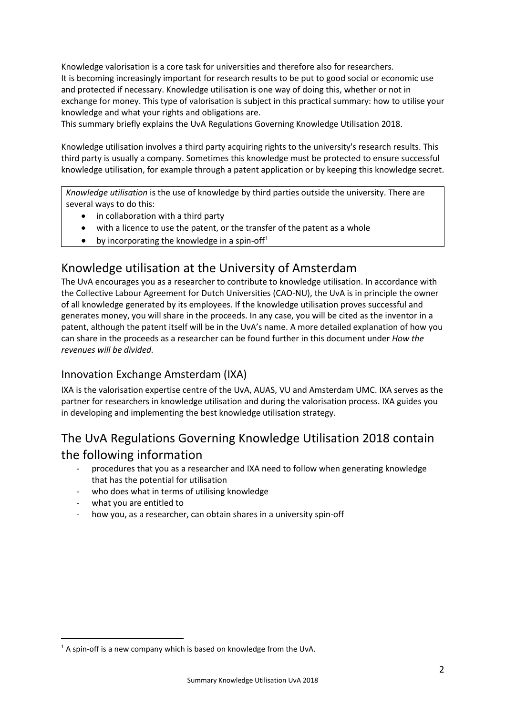Knowledge valorisation is a core task for universities and therefore also for researchers. It is becoming increasingly important for research results to be put to good social or economic use and protected if necessary. Knowledge utilisation is one way of doing this, whether or not in exchange for money. This type of valorisation is subject in this practical summary: how to utilise your knowledge and what your rights and obligations are.

This summary briefly explains the UvA Regulations Governing Knowledge Utilisation 2018.

Knowledge utilisation involves a third party acquiring rights to the university's research results. This third party is usually a company. Sometimes this knowledge must be protected to ensure successful knowledge utilisation, for example through a patent application or by keeping this knowledge secret.

*Knowledge utilisation* is the use of knowledge by third parties outside the university. There are several ways to do this:

- in collaboration with a third party
- with a licence to use the patent, or the transfer of the patent as a whole
- by incorporating the knowledge in a spin-off<sup>[1](#page-1-0)</sup>

## Knowledge utilisation at the University of Amsterdam

The UvA encourages you as a researcher to contribute to knowledge utilisation. In accordance with the Collective Labour Agreement for Dutch Universities (CAO-NU), the UvA is in principle the owner of all knowledge generated by its employees. If the knowledge utilisation proves successful and generates money, you will share in the proceeds. In any case, you will be cited as the inventor in a patent, although the patent itself will be in the UvA's name. A more detailed explanation of how you can share in the proceeds as a researcher can be found further in this document under *How the revenues will be divided.*

#### Innovation Exchange Amsterdam (IXA)

IXA is the valorisation expertise centre of the UvA, AUAS, VU and Amsterdam UMC. IXA serves as the partner for researchers in knowledge utilisation and during the valorisation process. IXA guides you in developing and implementing the best knowledge utilisation strategy.

# The UvA Regulations Governing Knowledge Utilisation 2018 contain the following information

- procedures that you as a researcher and IXA need to follow when generating knowledge that has the potential for utilisation
- who does what in terms of utilising knowledge
- what you are entitled to
- how you, as a researcher, can obtain shares in a university spin-off

<span id="page-1-0"></span> $1$  A spin-off is a new company which is based on knowledge from the UvA.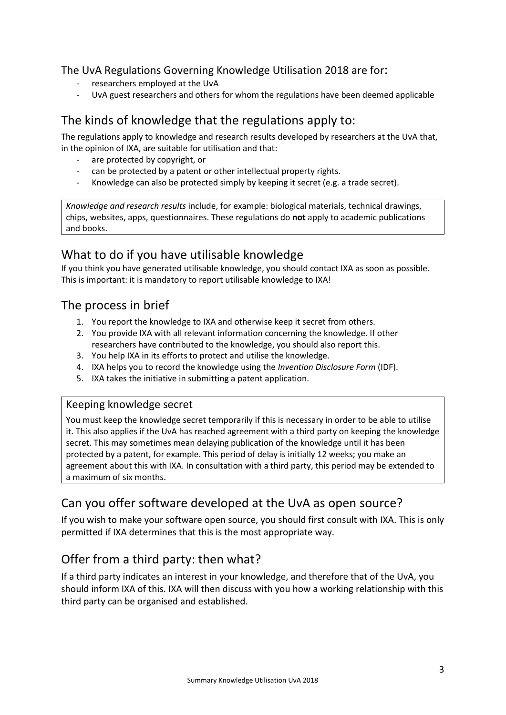# The UvA Regulations Governing Knowledge Utilisation 2018 are for:<br>- researchers employed at the UvA

- 
- UvA guest researchers and others for whom the regulations have been deemed applicable

## The kinds of knowledge that the regulations apply to:

The regulations apply to knowledge and research results developed by researchers at the UvA that, in the opinion of IXA, are suitable for utilisation and that:

- are protected by copyright, or
- can be protected by a patent or other intellectual property rights.
- Knowledge can also be protected simply by keeping it secret (e.g. a trade secret).

*Knowledge and research results* include, for example: biological materials, technical drawings, chips, websites, apps, questionnaires. These regulations do **not** apply to academic publications and books.

## What to do if you have utilisable knowledge

If you think you have generated utilisable knowledge, you should contact IXA as soon as possible. This is important: it is mandatory to report utilisable knowledge to IXA!

## The process in brief

- 1. You report the knowledge to IXA and otherwise keep it secret from others.
- 2. You provide IXA with all relevant information concerning the knowledge. If other researchers have contributed to the knowledge, you should also report this.
- 3. You help IXA in its efforts to protect and utilise the knowledge.
- 4. IXA helps you to record the knowledge using the *Invention Disclosure Form* (IDF).
- 5. IXA takes the initiative in submitting a patent application.

#### Keeping knowledge secret

You must keep the knowledge secret temporarily if this is necessary in order to be able to utilise it. This also applies if the UvA has reached agreement with a third party on keeping the knowledge secret. This may sometimes mean delaying publication of the knowledge until it has been protected by a patent, for example. This period of delay is initially 12 weeks; you make an agreement about this with IXA. In consultation with a third party, this period may be extended to a maximum of six months.

## Can you offer software developed at the UvA as open source?

If you wish to make your software open source, you should first consult with IXA. This is only permitted if IXA determines that this is the most appropriate way.

## Offer from a third party: then what?

If a third party indicates an interest in your knowledge, and therefore that of the UvA, you should inform IXA of this. IXA will then discuss with you how a working relationship with this third party can be organised and established.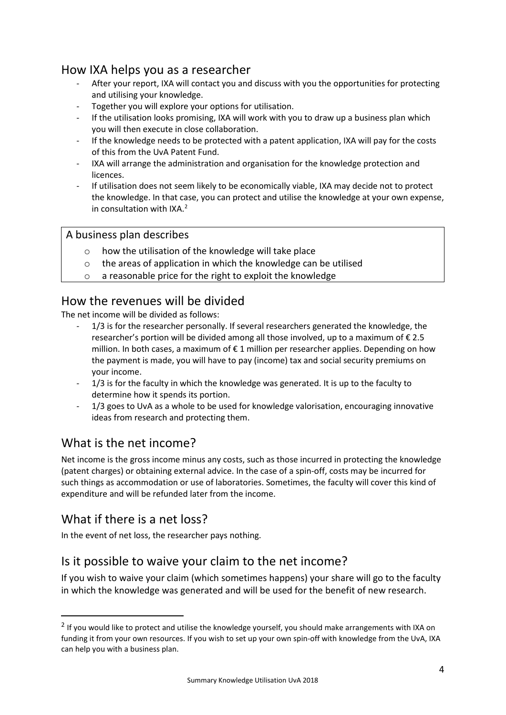## How IXA helps you as a researcher

- After your report, IXA will contact you and discuss with you the opportunities for protecting and utilising your knowledge.
- Together you will explore your options for utilisation.
- If the utilisation looks promising, IXA will work with you to draw up a business plan which you will then execute in close collaboration.
- If the knowledge needs to be protected with a patent application, IXA will pay for the costs of this from the UvA Patent Fund.
- IXA will arrange the administration and organisation for the knowledge protection and licences.
- If utilisation does not seem likely to be economically viable, IXA may decide not to protect the knowledge. In that case, you can protect and utilise the knowledge at your own expense, in consultation with IXA. [2](#page-3-0)

#### A business plan describes

- o how the utilisation of the knowledge will take place
- o the areas of application in which the knowledge can be utilised
- o a reasonable price for the right to exploit the knowledge

#### How the revenues will be divided

The net income will be divided as follows:

- 1/3 is for the researcher personally. If several researchers generated the knowledge, the researcher's portion will be divided among all those involved, up to a maximum of  $\epsilon$  2.5 million. In both cases, a maximum of € 1 million per researcher applies. Depending on how the payment is made, you will have to pay (income) tax and social security premiums on your income.
- 1/3 is for the faculty in which the knowledge was generated. It is up to the faculty to determine how it spends its portion.
- 1/3 goes to UvA as a whole to be used for knowledge valorisation, encouraging innovative ideas from research and protecting them.

## What is the net income?

Net income is the gross income minus any costs, such as those incurred in protecting the knowledge (patent charges) or obtaining external advice. In the case of a spin-off, costs may be incurred for such things as accommodation or use of laboratories. Sometimes, the faculty will cover this kind of expenditure and will be refunded later from the income.

## What if there is a net loss?

In the event of net loss, the researcher pays nothing.

## Is it possible to waive your claim to the net income?

If you wish to waive your claim (which sometimes happens) your share will go to the faculty in which the knowledge was generated and will be used for the benefit of new research.

<span id="page-3-0"></span><sup>&</sup>lt;sup>2</sup> If you would like to protect and utilise the knowledge yourself, you should make arrangements with IXA on funding it from your own resources. If you wish to set up your own spin-off with knowledge from the UvA, IXA can help you with a business plan.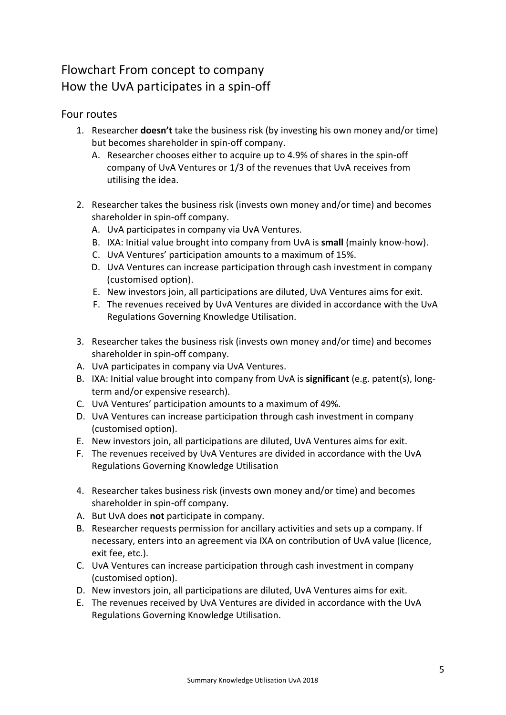# Flowchart From concept to company How the UvA participates in a spin-off

#### Four routes

- 1. Researcher **doesn't** take the business risk (by investing his own money and/or time) but becomes shareholder in spin-off company.
	- A. Researcher chooses either to acquire up to 4.9% of shares in the spin-off company of UvA Ventures or 1/3 of the revenues that UvA receives from utilising the idea.
- 2. Researcher takes the business risk (invests own money and/or time) and becomes shareholder in spin-off company.
	- A. UvA participates in company via UvA Ventures.
	- B. IXA: Initial value brought into company from UvA is **small** (mainly know-how).
	- C. UvA Ventures' participation amounts to a maximum of 15%.
	- D. UvA Ventures can increase participation through cash investment in company (customised option).
	- E. New investors join, all participations are diluted, UvA Ventures aims for exit.
	- F. The revenues received by UvA Ventures are divided in accordance with the UvA Regulations Governing Knowledge Utilisation.
- 3. Researcher takes the business risk (invests own money and/or time) and becomes shareholder in spin-off company.
- A. UvA participates in company via UvA Ventures.
- B. IXA: Initial value brought into company from UvA is **significant** (e.g. patent(s), longterm and/or expensive research).
- C. UvA Ventures' participation amounts to a maximum of 49%.
- D. UvA Ventures can increase participation through cash investment in company (customised option).
- E. New investors join, all participations are diluted, UvA Ventures aims for exit.
- F. The revenues received by UvA Ventures are divided in accordance with the UvA Regulations Governing Knowledge Utilisation
- 4. Researcher takes business risk (invests own money and/or time) and becomes shareholder in spin-off company.
- A. But UvA does **not** participate in company.
- B. Researcher requests permission for ancillary activities and sets up a company. If necessary, enters into an agreement via IXA on contribution of UvA value (licence, exit fee, etc.).
- C. UvA Ventures can increase participation through cash investment in company (customised option).
- D. New investors join, all participations are diluted, UvA Ventures aims for exit.
- E. The revenues received by UvA Ventures are divided in accordance with the UvA Regulations Governing Knowledge Utilisation.